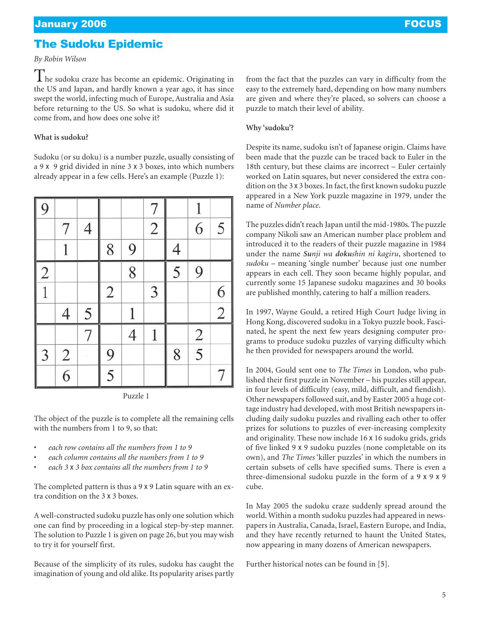# The Sudoku Epidemic

### *By Robin Wilson*

The sudoku craze has become an epidemic. Originating in the US and Japan, and hardly known a year ago, it has since swept the world, infecting much of Europe, Australia and Asia before returning to the US. So what is sudoku, where did it come from, and how does one solve it?

## **What is sudoku?**

Sudoku (or su doku) is a number puzzle, usually consisting of a 9 x 9 grid divided in nine 3 x 3 boxes, into which numbers already appear in a few cells. Here's an example (Puzzle 1):

| 9             |               |                |                |                | 7              |                |                |                |
|---------------|---------------|----------------|----------------|----------------|----------------|----------------|----------------|----------------|
|               | 7             | $\overline{4}$ |                |                | $\overline{2}$ |                | $\overline{6}$ | 5              |
|               |               |                | 8              | 9              |                | $\overline{4}$ |                |                |
|               |               |                |                | $\overline{8}$ |                | 5              | 9              |                |
| $\frac{2}{1}$ |               |                | $\overline{2}$ |                | 3              |                |                | 6              |
|               | 4             | 5              |                |                |                |                |                | $\overline{2}$ |
|               |               | 7              |                | $\overline{4}$ | 1              |                |                |                |
| 3             |               |                | 9              |                |                | 8              | $\frac{2}{5}$  |                |
|               | $\frac{2}{6}$ |                | 5              |                |                |                |                | 7              |

Puzzle 1

The object of the puzzle is to complete all the remaining cells with the numbers from 1 to 9, so that:

- *each row contains all the numbers from 1 to 9*
- *each column contains all the numbers from 1 to 9*
- *each 3* x *3 box contains all the numbers from 1 to 9*

The completed pattern is thus a 9 x 9 Latin square with an extra condition on the 3 x 3 boxes.

A well-constructed sudoku puzzle has only one solution which one can find by proceeding in a logical step-by-step manner. The solution to Puzzle 1 is given on page 26, but you may wish to try it for yourself first.

Because of the simplicity of its rules, sudoku has caught the imagination of young and old alike. Its popularity arises partly from the fact that the puzzles can vary in difficulty from the easy to the extremely hard, depending on how many numbers are given and where they're placed, so solvers can choose a puzzle to match their level of ability.

### **Why 'sudoku'?**

Despite its name, sudoku isn't of Japanese origin. Claims have been made that the puzzle can be traced back to Euler in the 18th century, but these claims are incorrect – Euler certainly worked on Latin squares, but never considered the extra condition on the 3 x 3 boxes. In fact, the first known sudoku puzzle appeared in a New York puzzle magazine in 1979, under the name of *Number place*.

The puzzles didn't reach Japan until the mid-1980s. The puzzle company Nikoli saw an American number place problem and introduced it to the readers of their puzzle magazine in 1984 under the name *Sunji wa dokushin ni kagiru*, shortened to *sudoku* – meaning 'single number' because just one number appears in each cell. They soon became highly popular, and currently some 15 Japanese sudoku magazines and 30 books are published monthly, catering to half a million readers.

In 1997, Wayne Gould, a retired High Court Judge living in Hong Kong, discovered sudoku in a Tokyo puzzle book. Fascinated, he spent the next few years designing computer programs to produce sudoku puzzles of varying difficulty which he then provided for newspapers around the world.

In 2004, Gould sent one to *The Times* in London, who published their first puzzle in November – his puzzles still appear, in four levels of difficulty (easy, mild, difficult, and fiendish). Other newspapers followed suit, and by Easter 2005 a huge cottage industry had developed, with most British newspapers including daily sudoku puzzles and rivalling each other to offer prizes for solutions to puzzles of ever-increasing complexity and originality. These now include 16 x 16 sudoku grids, grids of five linked 9 x 9 sudoku puzzles (none completable on its own), and *The Times* 'killer puzzles' in which the numbers in certain subsets of cells have specified sums. There is even a three-dimensional sudoku puzzle in the form of a 9 x 9 x 9 cube.

In May 2005 the sudoku craze suddenly spread around the world. Within a month sudoku puzzles had appeared in newspapers in Australia, Canada, Israel, Eastern Europe, and India, and they have recently returned to haunt the United States, now appearing in many dozens of American newspapers.

Further historical notes can be found in [**5**].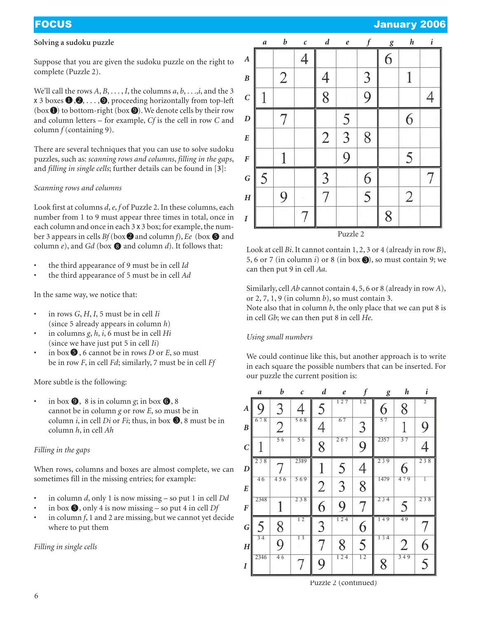## **Solving a sudoku puzzle**

Suppose that you are given the sudoku puzzle on the right to complete (Puzzle 2).

We'll call the rows *A*, *B*, . . . , *I*, the columns *a*, *b*, . . .,*i*, and the 3 **x** 3 boxes  $\textbf{0},\!\textbf{0},\ldots,\!\textbf{0},$  proceeding horizontally from top-left (box  $\bigcirc$ ) to bottom-right (box  $\bigcirc$ ). We denote cells by their row and column letters – for example, *Cf* is the cell in row *C* and column *f* (containing 9).

There are several techniques that you can use to solve sudoku puzzles, such as: *scanning rows and columns*, *filling in the gaps*, and *filling in single cells*; further details can be found in [**3**]:

### *Scanning rows and columns*

Look first at columns *d*, *e*, *f* of Puzzle 2. In these columns, each number from 1 to 9 must appear three times in total, once in each column and once in each 3 x 3 box; for example, the number 3 appears in cells  $Bf(\text{box} \, \bm{\odot})$  and column  $f$ ),  $Ee$  (box  $\bm{\odot}$  and column  $e$ ), and  $Gd$  (box  $\bigcirc$  and column  $d$ ). It follows that:

- the third appearance of 9 must be in cell *Id*
- the third appearance of 5 must be in cell *Ad*

In the same way, we notice that:

- in rows *G*, *H*, *I*, 5 must be in cell *Ii* (since 5 already appears in column *h*)
- in columns *g*, *h*, *i*, 6 must be in cell *Hi* (since we have just put 5 in cell *Ii*)
- $\cdot$  in box  $\bullet$ , 6 cannot be in rows *D* or *E*, so must be in row *F*, in cell *Fd*; similarly, 7 must be in cell *Ff*

More subtle is the following:

• in box  $\bullet$ , 8 is in column *g*; in box  $\bullet$ , 8 cannot be in column *g* or row *E*, so must be in column *i*, in cell *Di* or *Fi*; thus, in box  $\bullet$ , 8 must be in column *h*, in cell *Ah*

### *Filling in the gaps*

When rows, columns and boxes are almost complete, we can sometimes fill in the missing entries; for example:

- in column *d*, only 1 is now missing so put 1 in cell *Dd*
- in box  $\bigcirc$ , only 4 is now missing so put 4 in cell *Df*
- in column *f*, 1 and 2 are missing, but we cannot yet decide where to put them

*Filling in single cells*



Look at cell *Bi*. It cannot contain 1, 2, 3 or 4 (already in row *B*), 5, 6 or 7 (in column  $i$ ) or 8 (in box  $\bigcirc$ ), so must contain 9; we can then put 9 in cell *Aa*.

Similarly, cell *Ab* cannot contain 4, 5, 6 or 8 (already in row *A*), or 2, 7, 1, 9 (in column *b*), so must contain 3.

Note also that in column *b*, the only place that we can put 8 is in cell *Gb*; we can then put 8 in cell *He*.

### *Using small numbers*

We could continue like this, but another approach is to write in each square the possible numbers that can be inserted. For our puzzle the current position is:



Puzzle 2 (continued)